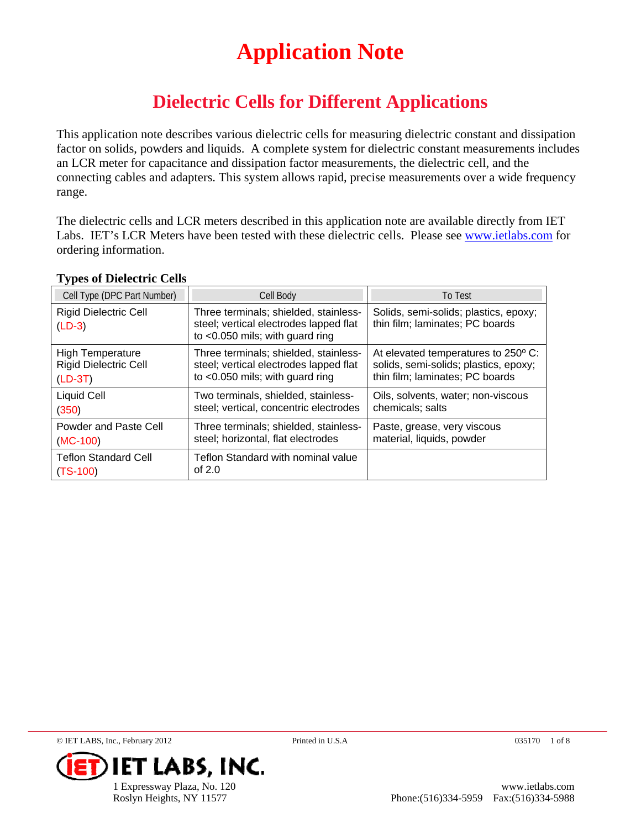### **Dielectric Cells for Different Applications**

This application note describes various dielectric cells for measuring dielectric constant and dissipation factor on solids, powders and liquids. A complete system for dielectric constant measurements includes an LCR meter for capacitance and dissipation factor measurements, the dielectric cell, and the connecting cables and adapters. This system allows rapid, precise measurements over a wide frequency range.

The dielectric cells and LCR meters described in this application note are available directly from IET Labs. IET's LCR Meters have been tested with these dielectric cells. Please see www.ietlabs.com for ordering information.

| Cell Type (DPC Part Number)               | Cell Body                                                                                                             | To Test                                                                  |
|-------------------------------------------|-----------------------------------------------------------------------------------------------------------------------|--------------------------------------------------------------------------|
| <b>Rigid Dielectric Cell</b><br>$(LD-3)$  | Three terminals; shielded, stainless-<br>steel; vertical electrodes lapped flat<br>to $<$ 0.050 mils; with guard ring | Solids, semi-solids; plastics, epoxy;<br>thin film; laminates; PC boards |
| <b>High Temperature</b>                   | Three terminals; shielded, stainless-                                                                                 | At elevated temperatures to 250° C:                                      |
| <b>Rigid Dielectric Cell</b>              | steel; vertical electrodes lapped flat                                                                                | solids, semi-solids; plastics, epoxy;                                    |
| $(LD-3T)$                                 | to $<$ 0.050 mils; with guard ring                                                                                    | thin film; laminates; PC boards                                          |
| Liquid Cell                               | Two terminals, shielded, stainless-                                                                                   | Oils, solvents, water; non-viscous                                       |
| (350)                                     | steel; vertical, concentric electrodes                                                                                | chemicals; salts                                                         |
| Powder and Paste Cell                     | Three terminals; shielded, stainless-                                                                                 | Paste, grease, very viscous                                              |
| $(MC-100)$                                | steel; horizontal, flat electrodes                                                                                    | material, liquids, powder                                                |
| <b>Teflon Standard Cell</b><br>$(TS-100)$ | Teflon Standard with nominal value<br>of $2.0$                                                                        |                                                                          |

#### **Types of Dielectric Cells**

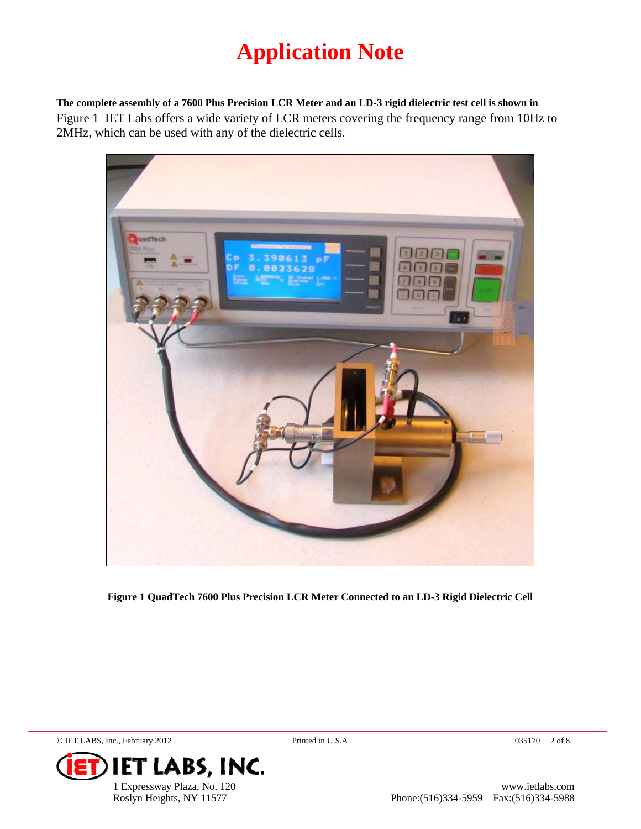**The complete assembly of a 7600 Plus Precision LCR Meter and an LD-3 rigid dielectric test cell is shown in**  Figure 1 IET Labs offers a wide variety of LCR meters covering the frequency range from 10Hz to 2MHz, which can be used with any of the dielectric cells.



**Figure 1 QuadTech 7600 Plus Precision LCR Meter Connected to an LD-3 Rigid Dielectric Cell** 

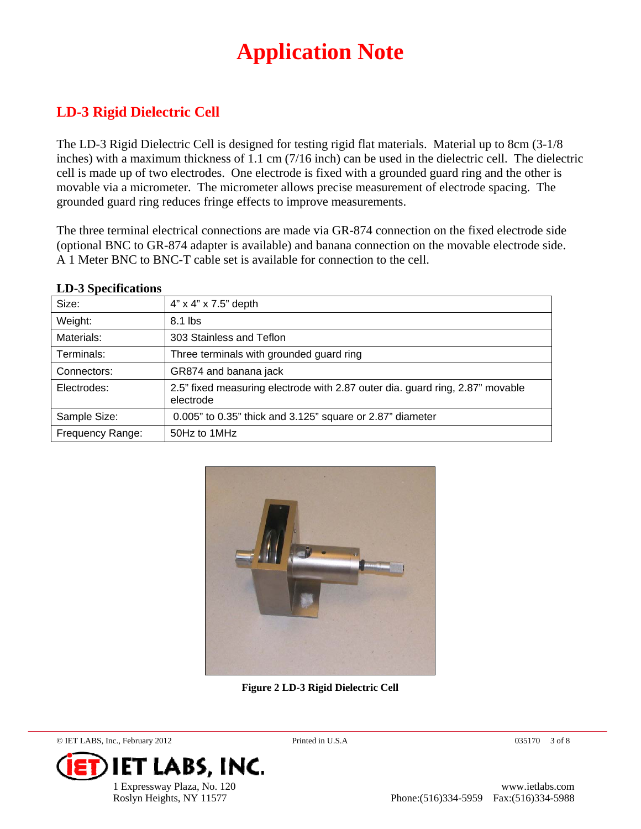### **LD-3 Rigid Dielectric Cell**

The LD-3 Rigid Dielectric Cell is designed for testing rigid flat materials. Material up to 8cm (3-1/8 inches) with a maximum thickness of 1.1 cm (7/16 inch) can be used in the dielectric cell. The dielectric cell is made up of two electrodes. One electrode is fixed with a grounded guard ring and the other is movable via a micrometer. The micrometer allows precise measurement of electrode spacing. The grounded guard ring reduces fringe effects to improve measurements.

The three terminal electrical connections are made via GR-874 connection on the fixed electrode side (optional BNC to GR-874 adapter is available) and banana connection on the movable electrode side. A 1 Meter BNC to BNC-T cable set is available for connection to the cell.

| Size:            | $4" \times 4" \times 7.5"$ depth                                                           |
|------------------|--------------------------------------------------------------------------------------------|
| Weight:          | 8.1 lbs                                                                                    |
| Materials:       | 303 Stainless and Teflon                                                                   |
| Terminals:       | Three terminals with grounded guard ring                                                   |
| Connectors:      | GR874 and banana jack                                                                      |
| Electrodes:      | 2.5" fixed measuring electrode with 2.87 outer dia. guard ring, 2.87" movable<br>electrode |
| Sample Size:     | 0.005" to 0.35" thick and 3.125" square or 2.87" diameter                                  |
| Frequency Range: | 50Hz to 1MHz                                                                               |

#### **LD-3 Specifications**



**Figure 2 LD-3 Rigid Dielectric Cell** 

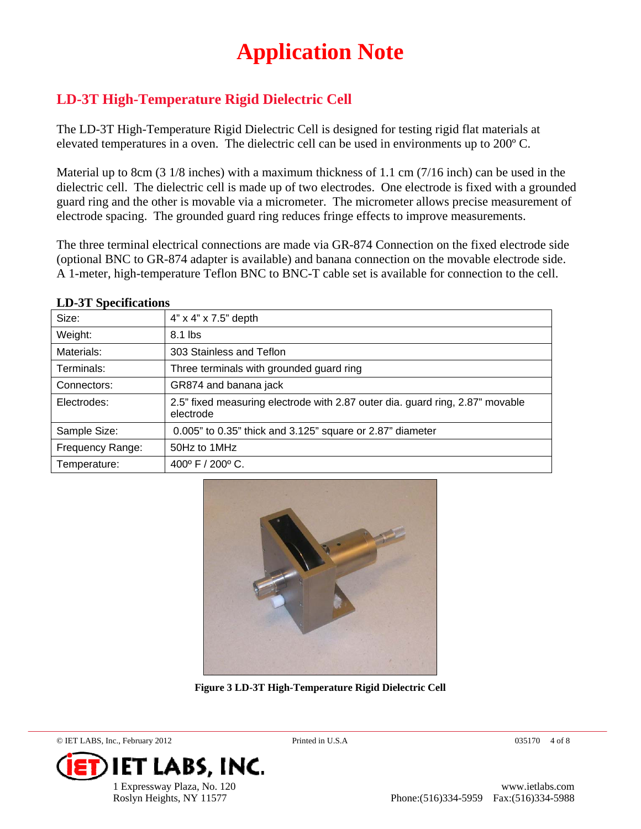### **LD-3T High-Temperature Rigid Dielectric Cell**

The LD-3T High-Temperature Rigid Dielectric Cell is designed for testing rigid flat materials at elevated temperatures in a oven. The dielectric cell can be used in environments up to 200º C.

Material up to 8cm (3 1/8 inches) with a maximum thickness of 1.1 cm (7/16 inch) can be used in the dielectric cell. The dielectric cell is made up of two electrodes. One electrode is fixed with a grounded guard ring and the other is movable via a micrometer. The micrometer allows precise measurement of electrode spacing. The grounded guard ring reduces fringe effects to improve measurements.

The three terminal electrical connections are made via GR-874 Connection on the fixed electrode side (optional BNC to GR-874 adapter is available) and banana connection on the movable electrode side. A 1-meter, high-temperature Teflon BNC to BNC-T cable set is available for connection to the cell.

| Size:            | $4" \times 4" \times 7.5"$ depth                                                           |
|------------------|--------------------------------------------------------------------------------------------|
| Weight:          | 8.1 lbs                                                                                    |
| Materials:       | 303 Stainless and Teflon                                                                   |
| Terminals:       | Three terminals with grounded guard ring                                                   |
| Connectors:      | GR874 and banana jack                                                                      |
| Electrodes:      | 2.5" fixed measuring electrode with 2.87 outer dia. guard ring, 2.87" movable<br>electrode |
| Sample Size:     | 0.005" to 0.35" thick and 3.125" square or 2.87" diameter                                  |
| Frequency Range: | 50Hz to 1MHz                                                                               |
| Temperature:     | 400° F / 200° C.                                                                           |

#### **LD-3T Specifications**



**Figure 3 LD-3T High-Temperature Rigid Dielectric Cell** 

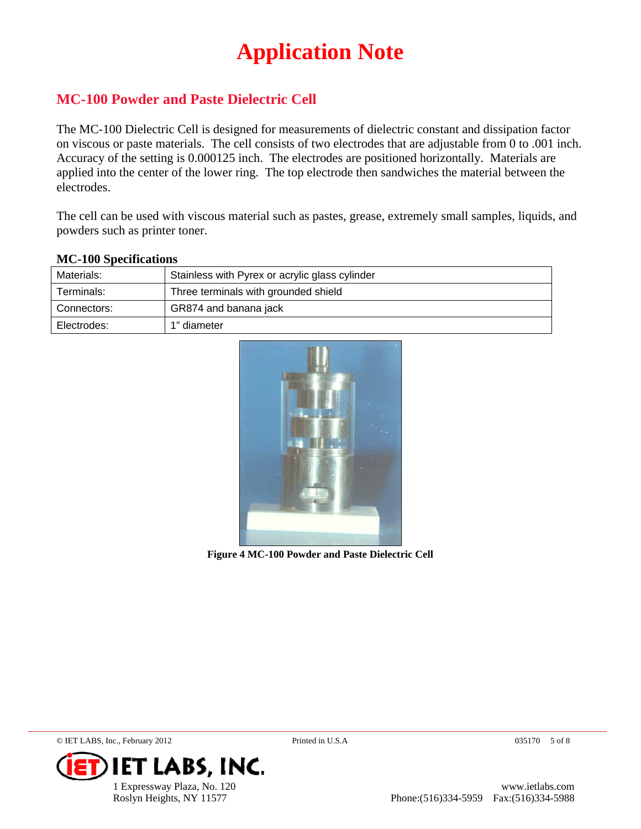### **MC-100 Powder and Paste Dielectric Cell**

The MC-100 Dielectric Cell is designed for measurements of dielectric constant and dissipation factor on viscous or paste materials. The cell consists of two electrodes that are adjustable from 0 to .001 inch. Accuracy of the setting is 0.000125 inch. The electrodes are positioned horizontally. Materials are applied into the center of the lower ring. The top electrode then sandwiches the material between the electrodes.

The cell can be used with viscous material such as pastes, grease, extremely small samples, liquids, and powders such as printer toner.

| Materials:  | Stainless with Pyrex or acrylic glass cylinder |
|-------------|------------------------------------------------|
| Terminals:  | Three terminals with grounded shield           |
| Connectors: | GR874 and banana jack                          |
| Electrodes: | 1" diameter                                    |

### **MC-100 Specifications**



**Figure 4 MC-100 Powder and Paste Dielectric Cell** 

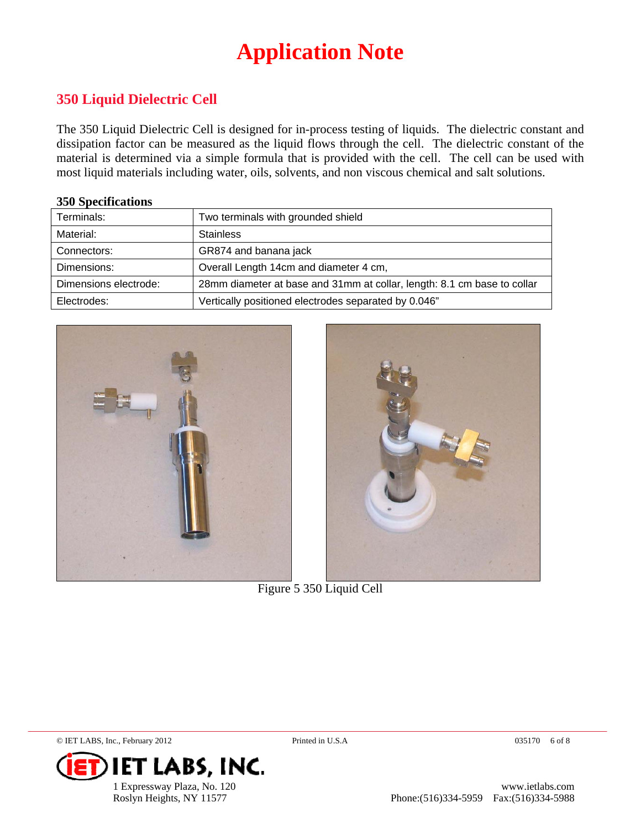### **350 Liquid Dielectric Cell**

The 350 Liquid Dielectric Cell is designed for in-process testing of liquids. The dielectric constant and dissipation factor can be measured as the liquid flows through the cell. The dielectric constant of the material is determined via a simple formula that is provided with the cell. The cell can be used with most liquid materials including water, oils, solvents, and non viscous chemical and salt solutions.

#### **350 Specifications**

| Terminals:            | Two terminals with grounded shield                                      |
|-----------------------|-------------------------------------------------------------------------|
| Material:             | <b>Stainless</b>                                                        |
| Connectors:           | GR874 and banana jack                                                   |
| Dimensions:           | Overall Length 14cm and diameter 4 cm,                                  |
| Dimensions electrode: | 28mm diameter at base and 31mm at collar, length: 8.1 cm base to collar |
| Electrodes:           | Vertically positioned electrodes separated by 0.046"                    |





Figure 5 350 Liquid Cell

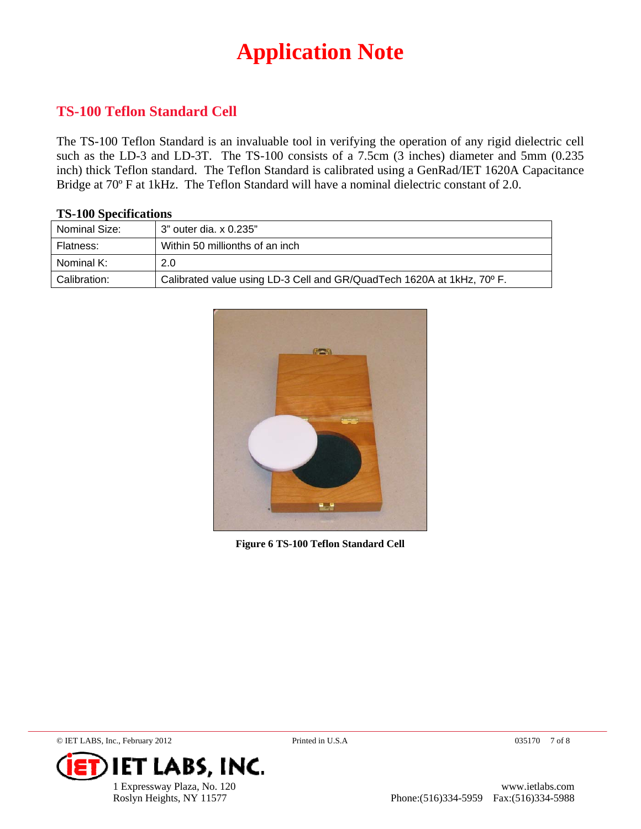### **TS-100 Teflon Standard Cell**

The TS-100 Teflon Standard is an invaluable tool in verifying the operation of any rigid dielectric cell such as the LD-3 and LD-3T. The TS-100 consists of a 7.5cm (3 inches) diameter and 5mm (0.235 inch) thick Teflon standard. The Teflon Standard is calibrated using a GenRad/IET 1620A Capacitance Bridge at 70º F at 1kHz. The Teflon Standard will have a nominal dielectric constant of 2.0.

#### **TS-100 Specifications**

| Nominal Size: | 3" outer dia. x 0.235"                                                 |
|---------------|------------------------------------------------------------------------|
| Flatness:     | Within 50 millionths of an inch                                        |
| Nominal K:    | 2.0                                                                    |
| Calibration:  | Calibrated value using LD-3 Cell and GR/QuadTech 1620A at 1kHz, 70° F. |



**Figure 6 TS-100 Teflon Standard Cell**